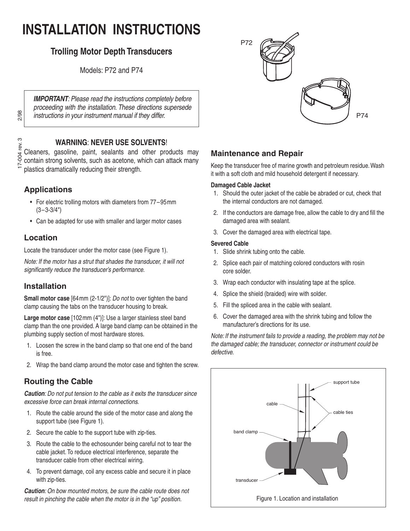# **INSTALLATION INSTRUCTIONS**

## **Trolling Motor Depth Transducers**

Models: P72 and P74

*IMPORTANT: Please read the instructions completely before proceeding with the installation. These directions supersede instructions in your instrument manual if they differ.*

2/98 17-004 rev. 3 2/98

ო

 $-004$ 

#### **WARNING**: **NEVER USE SOLVENTS**!

rev. Cleaners, gasoline, paint, sealants and other products may contain strong solvents, such as acetone, which can attack many plastics dramatically reducing their strength.

## **Applications**

- For electric trolling motors with diameters from 77–95mm  $(3-3-3/4")$
- Can be adapted for use with smaller and larger motor cases

#### **Location**

Locate the transducer under the motor case (see Figure 1).

*Note: If the motor has a strut that shades the transducer, it will not significantly reduce the transducer's performance.* 

## **Installation**

**Small motor case** [64mm (2-1/2")]: *Do not* to over tighten the band clamp causing the tabs on the transducer housing to break.

**Large motor case** [102mm (4")]: Use a larger stainless steel band clamp than the one provided. A large band clamp can be obtained in the plumbing supply section of most hardware stores.

- 1. Loosen the screw in the band clamp so that one end of the band is free.
- 2. Wrap the band clamp around the motor case and tighten the screw.

## **Routing the Cable**

*Caution: Do not put tension to the cable as it exits the transducer since excessive force can break internal connections.* 

- 1. Route the cable around the side of the motor case and along the support tube (see Figure 1).
- 2. Secure the cable to the support tube with zip-ties.
- 3. Route the cable to the echosounder being careful not to tear the cable jacket. To reduce electrical interference, separate the transducer cable from other electrical wiring.
- 4. To prevent damage, coil any excess cable and secure it in place with zip-ties.

*Caution: On bow mounted motors, be sure the cable route does not result in pinching the cable when the motor is in the "up" position.*



#### **Maintenance and Repair**

Keep the transducer free of marine growth and petroleum residue. Wash it with a soft cloth and mild household detergent if necessary.

#### **Damaged Cable Jacket**

- 1. Should the outer jacket of the cable be abraded or cut, check that the internal conductors are not damaged.
- 2. If the conductors are damage free, allow the cable to dry and fill the damaged area with sealant.
- 3. Cover the damaged area with electrical tape.

#### **Severed Cable**

- 1. Slide shrink tubing onto the cable.
- 2. Splice each pair of matching colored conductors with rosin core solder.
- 3. Wrap each conductor with insulating tape at the splice.
- 4. Splice the shield (braided) wire with solder.
- 5. Fill the spliced area in the cable with sealant.
- 6. Cover the damaged area with the shrink tubing and follow the manufacturer's directions for its use.

*Note: If the instrument fails to provide a reading, the problem may not be the damaged cable; the transducer, connector or instrument could be defective.*